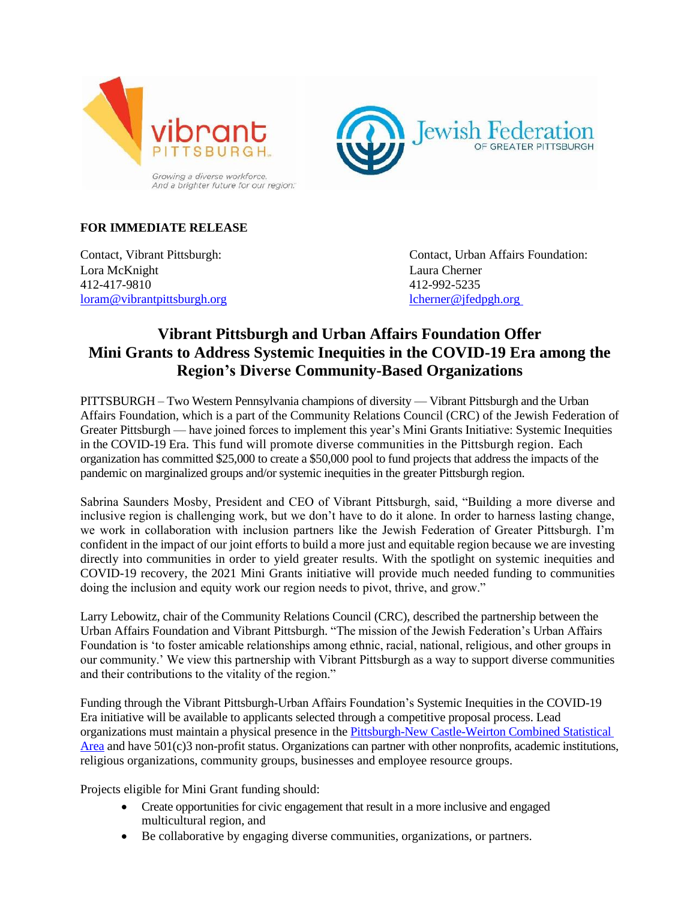



## **FOR IMMEDIATE RELEASE**

Lora McKnight Laura Cherner 412-417-9810 412-992-5235 [loram@vibrantpittsburgh.org](mailto:Patriciab@vibrantpittsburgh.org) [lcherner@jfedpgh.org](mailto:lcherner@jfedpgh.org)

Contact, Vibrant Pittsburgh: Contact, Urban Affairs Foundation:

# **Vibrant Pittsburgh and Urban Affairs Foundation Offer Mini Grants to Address Systemic Inequities in the COVID-19 Era among the Region's Diverse Community-Based Organizations**

PITTSBURGH – Two Western Pennsylvania champions of diversity — Vibrant Pittsburgh and the Urban Affairs Foundation, which is a part of the Community Relations Council (CRC) of the Jewish Federation of Greater Pittsburgh — have joined forces to implement this year's Mini Grants Initiative: Systemic Inequities in the COVID-19 Era. This fund will promote diverse communities in the Pittsburgh region. Each organization has committed \$25,000 to create a \$50,000 pool to fund projects that address the impacts of the pandemic on marginalized groups and/or systemic inequities in the greater Pittsburgh region.

Sabrina Saunders Mosby, President and CEO of Vibrant Pittsburgh, said, "Building a more diverse and inclusive region is challenging work, but we don't have to do it alone. In order to harness lasting change, we work in collaboration with inclusion partners like the Jewish Federation of Greater Pittsburgh. I'm confident in the impact of our joint efforts to build a more just and equitable region because we are investing directly into communities in order to yield greater results. With the spotlight on systemic inequities and COVID-19 recovery, the 2021 Mini Grants initiative will provide much needed funding to communities doing the inclusion and equity work our region needs to pivot, thrive, and grow."

Larry Lebowitz, chair of the Community Relations Council (CRC), described the partnership between the Urban Affairs Foundation and Vibrant Pittsburgh. "The mission of the Jewish Federation's Urban Affairs Foundation is 'to foster amicable relationships among ethnic, racial, national, religious, and other groups in our community.' We view this partnership with Vibrant Pittsburgh as a way to support diverse communities and their contributions to the vitality of the region."

Funding through the Vibrant Pittsburgh-Urban Affairs Foundation's Systemic Inequities in the COVID-19 Era initiative will be available to applicants selected through a competitive proposal process. Lead organizations must maintain a physical presence in the [Pittsburgh-New Castle-Weirton Combined Statistical](https://www2.census.gov/geo/maps/econ/ec2012/csa/EC2012_330M200US430M.pdf)  [Area](https://www2.census.gov/geo/maps/econ/ec2012/csa/EC2012_330M200US430M.pdf) and have 501(c)3 non-profit status. Organizations can partner with other nonprofits, academic institutions, religious organizations, community groups, businesses and employee resource groups.

Projects eligible for Mini Grant funding should:

- Create opportunities for civic engagement that result in a more inclusive and engaged multicultural region, and
- Be collaborative by engaging diverse communities, organizations, or partners.